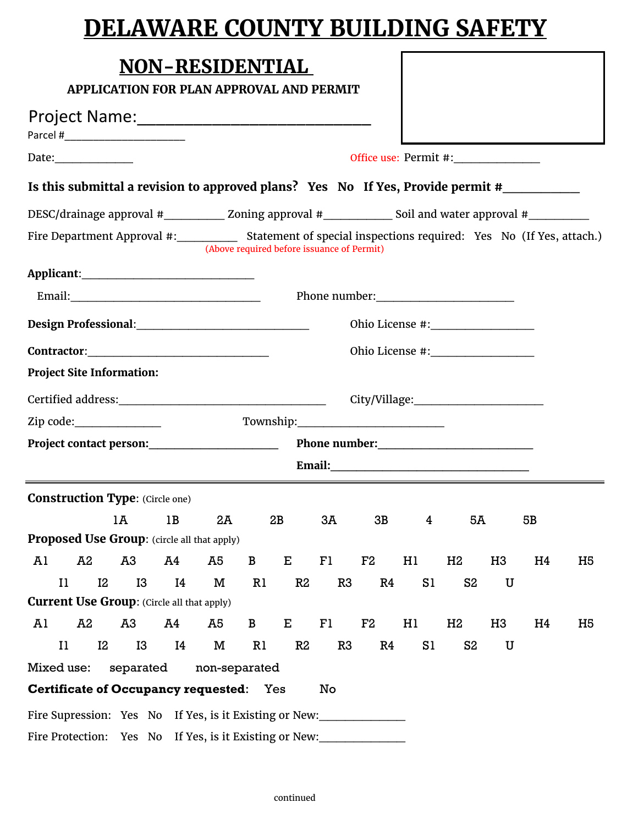## **DELAWARE COUNTY BUILDING SAFETY**

|                                                                                                               |    |    |    | <b>NON-RESIDENTIAL</b> |              |             | <b>APPLICATION FOR PLAN APPROVAL AND PERMIT</b> |    |    |                                                                                                               |    |    |                |
|---------------------------------------------------------------------------------------------------------------|----|----|----|------------------------|--------------|-------------|-------------------------------------------------|----|----|---------------------------------------------------------------------------------------------------------------|----|----|----------------|
|                                                                                                               |    |    |    |                        |              |             |                                                 |    |    |                                                                                                               |    |    |                |
|                                                                                                               |    |    |    |                        |              |             |                                                 |    |    | Office use: Permit #:________________                                                                         |    |    |                |
| Is this submittal a revision to approved plans? Yes No If Yes, Provide permit #                               |    |    |    |                        |              |             |                                                 |    |    |                                                                                                               |    |    |                |
| DESC/drainage approval #_____________ Zoning approval #______________ Soil and water approval #___________    |    |    |    |                        |              |             |                                                 |    |    |                                                                                                               |    |    |                |
| Fire Department Approval #:______________ Statement of special inspections required: Yes No (If Yes, attach.) |    |    |    |                        |              |             | (Above required before issuance of Permit)      |    |    |                                                                                                               |    |    |                |
|                                                                                                               |    |    |    |                        |              |             |                                                 |    |    |                                                                                                               |    |    |                |
|                                                                                                               |    |    |    |                        |              |             |                                                 |    |    |                                                                                                               |    |    |                |
|                                                                                                               |    |    |    |                        |              |             |                                                 |    |    |                                                                                                               |    |    |                |
|                                                                                                               |    |    |    |                        |              |             |                                                 |    |    |                                                                                                               |    |    |                |
| <b>Project Site Information:</b>                                                                              |    |    |    |                        |              |             |                                                 |    |    |                                                                                                               |    |    |                |
|                                                                                                               |    |    |    |                        |              |             |                                                 |    |    |                                                                                                               |    |    |                |
| Zip code:_________________                                                                                    |    |    |    |                        |              |             |                                                 |    |    |                                                                                                               |    |    |                |
|                                                                                                               |    |    |    |                        |              |             |                                                 |    |    |                                                                                                               |    |    |                |
|                                                                                                               |    |    |    |                        |              |             |                                                 |    |    | Email: 2008 2008 2010 2021 2022 2023 2024 2022 2022 2023 2024 2022 2023 2024 2022 2023 2024 2022 2023 2024 20 |    |    |                |
| <b>Construction Type: (Circle one)</b>                                                                        |    |    |    |                        |              |             |                                                 |    |    |                                                                                                               |    |    |                |
|                                                                                                               |    | 1Ā | 1B | 2A                     |              | 2B          | 3Ā                                              | 3B | 4  | 5A                                                                                                            |    | 5В |                |
| <b>Proposed Use Group:</b> (circle all that apply)                                                            |    |    |    |                        |              |             |                                                 |    |    |                                                                                                               |    |    |                |
| Al                                                                                                            | A2 | A3 | A4 | A5                     | $\mathbf{B}$ | $E_{\perp}$ | F1                                              | F2 | Hl | H2                                                                                                            | H3 | H4 | H <sub>5</sub> |
| $_{\rm II}$<br><b>Current Use Group:</b> (Circle all that apply)                                              | I2 | I3 | I4 | M                      | R1           | R2          | R3                                              | R4 | S1 | S <sub>2</sub>                                                                                                | U  |    |                |
| Al                                                                                                            | A2 | A3 | A4 | A5                     | $\mathbf{B}$ | $E_{\perp}$ | F1                                              | F2 | H1 | H2                                                                                                            | H3 | H4 | H <sub>5</sub> |
| $\mathbf{I}$                                                                                                  | I2 | I3 | I4 | M                      | R1           | R2          | R3                                              | R4 | S1 | S <sub>2</sub>                                                                                                | U  |    |                |
| Mixed use: separated                                                                                          |    |    |    | non-separated          |              |             |                                                 |    |    |                                                                                                               |    |    |                |
| <b>Certificate of Occupancy requested:</b> Yes                                                                |    |    |    |                        |              |             | No                                              |    |    |                                                                                                               |    |    |                |
| Fire Supression: Yes No If Yes, is it Existing or New:                                                        |    |    |    |                        |              |             |                                                 |    |    |                                                                                                               |    |    |                |
| Fire Protection: Yes No If Yes, is it Existing or New:                                                        |    |    |    |                        |              |             |                                                 |    |    |                                                                                                               |    |    |                |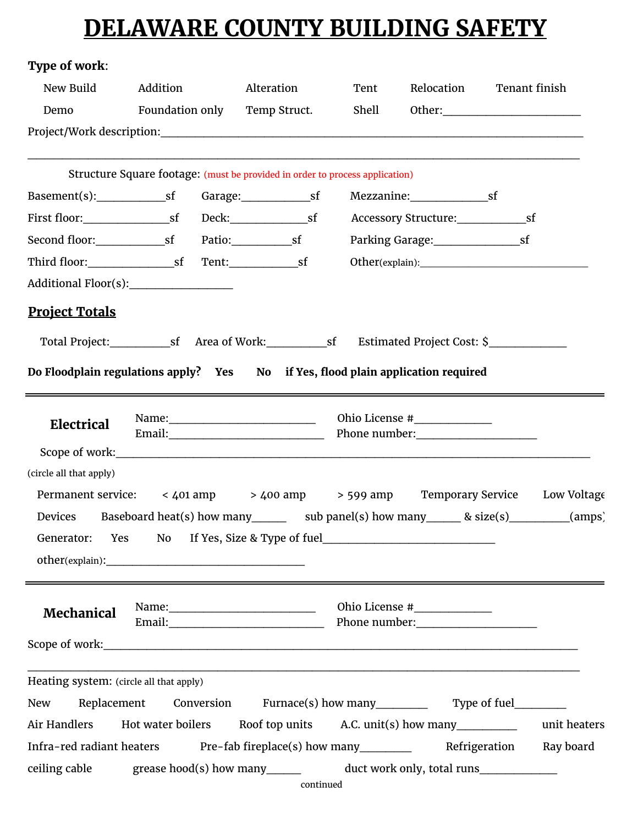## **DELAWARE COUNTY BUILDING SAFETY**

| Type of work:                           |                                                                                  |                                |       |                                                                                                                                                                                                                               |                                                                                                    |
|-----------------------------------------|----------------------------------------------------------------------------------|--------------------------------|-------|-------------------------------------------------------------------------------------------------------------------------------------------------------------------------------------------------------------------------------|----------------------------------------------------------------------------------------------------|
| New Build                               | Addition                                                                         | Alteration                     | Tent  | Relocation                                                                                                                                                                                                                    | Tenant finish                                                                                      |
| Demo                                    | Foundation only                                                                  | Temp Struct.                   | Shell |                                                                                                                                                                                                                               |                                                                                                    |
|                                         |                                                                                  |                                |       |                                                                                                                                                                                                                               |                                                                                                    |
|                                         | Structure Square footage: (must be provided in order to process application)     |                                |       |                                                                                                                                                                                                                               |                                                                                                    |
|                                         |                                                                                  |                                |       |                                                                                                                                                                                                                               |                                                                                                    |
|                                         |                                                                                  |                                |       |                                                                                                                                                                                                                               |                                                                                                    |
|                                         |                                                                                  |                                |       |                                                                                                                                                                                                                               |                                                                                                    |
|                                         |                                                                                  |                                |       |                                                                                                                                                                                                                               |                                                                                                    |
|                                         |                                                                                  |                                |       |                                                                                                                                                                                                                               |                                                                                                    |
| <b>Project Totals</b>                   |                                                                                  |                                |       |                                                                                                                                                                                                                               |                                                                                                    |
|                                         |                                                                                  |                                |       |                                                                                                                                                                                                                               |                                                                                                    |
|                                         | Do Floodplain regulations apply? Yes No if Yes, flood plain application required |                                |       |                                                                                                                                                                                                                               |                                                                                                    |
| Electrical                              |                                                                                  |                                |       | Ohio License #_______________                                                                                                                                                                                                 |                                                                                                    |
| (circle all that apply)                 |                                                                                  |                                |       |                                                                                                                                                                                                                               |                                                                                                    |
|                                         |                                                                                  |                                |       |                                                                                                                                                                                                                               | Permanent service: < 401 amp > 400 amp > 599 amp Temporary Service Low Voltage                     |
|                                         |                                                                                  |                                |       |                                                                                                                                                                                                                               | Devices Baseboard heat(s) how many _______ sub panel(s) how many _______ & size(s) _________(amps) |
| Generator:                              | Yes<br>No.                                                                       |                                |       |                                                                                                                                                                                                                               |                                                                                                    |
|                                         |                                                                                  |                                |       |                                                                                                                                                                                                                               |                                                                                                    |
|                                         |                                                                                  |                                |       | Ohio License #______________                                                                                                                                                                                                  |                                                                                                    |
| Mechanical                              |                                                                                  |                                |       | Phone number: The contract of the contract of the contract of the contract of the contract of the contract of the contract of the contract of the contract of the contract of the contract of the contract of the contract of |                                                                                                    |
|                                         |                                                                                  |                                |       |                                                                                                                                                                                                                               |                                                                                                    |
| Heating system: (circle all that apply) |                                                                                  |                                |       |                                                                                                                                                                                                                               |                                                                                                    |
| Replacement<br>New                      |                                                                                  | Conversion Furnace(s) how many |       |                                                                                                                                                                                                                               |                                                                                                    |
| Air Handlers                            | Hot water boilers Roof top units A.C. unit(s) how many                           |                                |       |                                                                                                                                                                                                                               | unit heaters                                                                                       |
|                                         | Infra-red radiant heaters Pre-fab fireplace(s) how many                          |                                |       |                                                                                                                                                                                                                               | Refrigeration<br>Ray board                                                                         |
| ceiling cable                           | grease hood(s) how many______                                                    | continued                      |       | duct work only, total runs                                                                                                                                                                                                    |                                                                                                    |